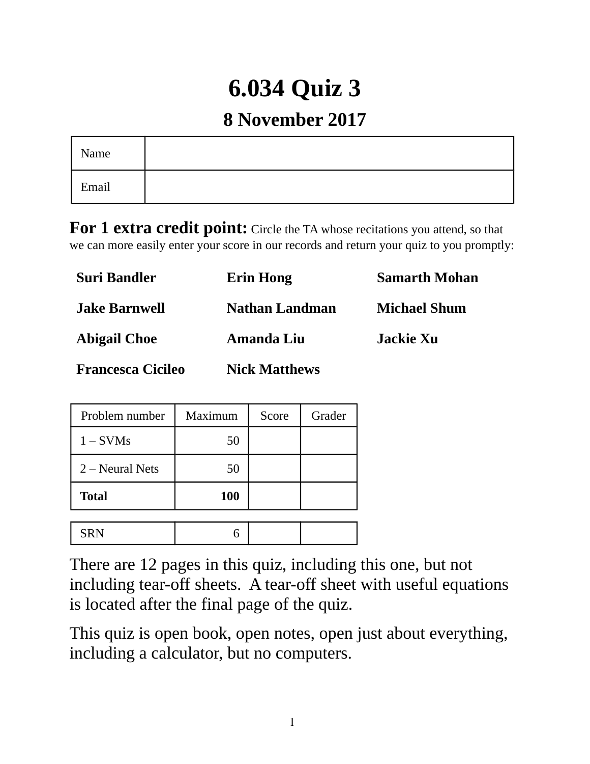# **6.034 Quiz 3**

## **8 November 2017**

| Name  |  |
|-------|--|
| Email |  |

**For 1 extra credit point:** Circle the TA whose recitations you attend, so that we can more easily enter your score in our records and return your quiz to you promptly:

| <b>Suri Bandler</b>      | <b>Erin Hong</b>     | <b>Samarth Mohan</b> |
|--------------------------|----------------------|----------------------|
| <b>Jake Barnwell</b>     | Nathan Landman       | <b>Michael Shum</b>  |
| <b>Abigail Choe</b>      | <b>Amanda Liu</b>    | Jackie Xu            |
| <b>Francesca Cicileo</b> | <b>Nick Matthews</b> |                      |

| Problem number    | Maximum<br>Score |  | Grader |
|-------------------|------------------|--|--------|
| $1 - SVMs$        | 50               |  |        |
| $2$ – Neural Nets | 50               |  |        |
| <b>Total</b>      | 100              |  |        |
|                   |                  |  |        |
| <b>SRN</b>        |                  |  |        |

There are 12 pages in this quiz, including this one, but not including tear-off sheets. A tear-off sheet with useful equations is located after the final page of the quiz.

This quiz is open book, open notes, open just about everything, including a calculator, but no computers.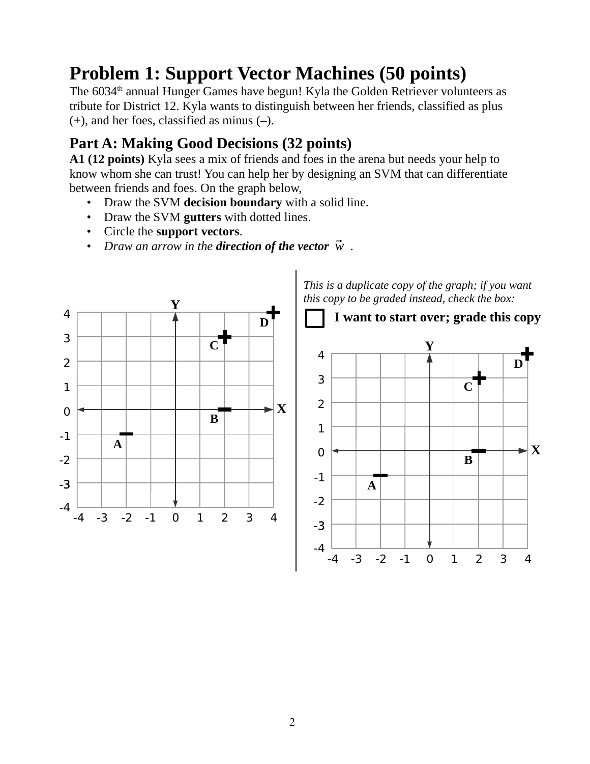# **Problem 1: Support Vector Machines (50 points)**

The 6034<sup>th</sup> annual Hunger Games have begun! Kyla the Golden Retriever volunteers as tribute for District 12. Kyla wants to distinguish between her friends, classified as plus (**+**), and her foes, classified as minus (**–**).

### **Part A: Making Good Decisions (32 points)**

**A1 (12 points)** Kyla sees a mix of friends and foes in the arena but needs your help to know whom she can trust! You can help her by designing an SVM that can differentiate between friends and foes. On the graph below,

- Draw the SVM **decision boundary** with a solid line.
- Draw the SVM **gutters** with dotted lines.
- Circle the **support vectors**.
- *Draw an arrow in the direction of the vector*  $\vec{w}$ *.*

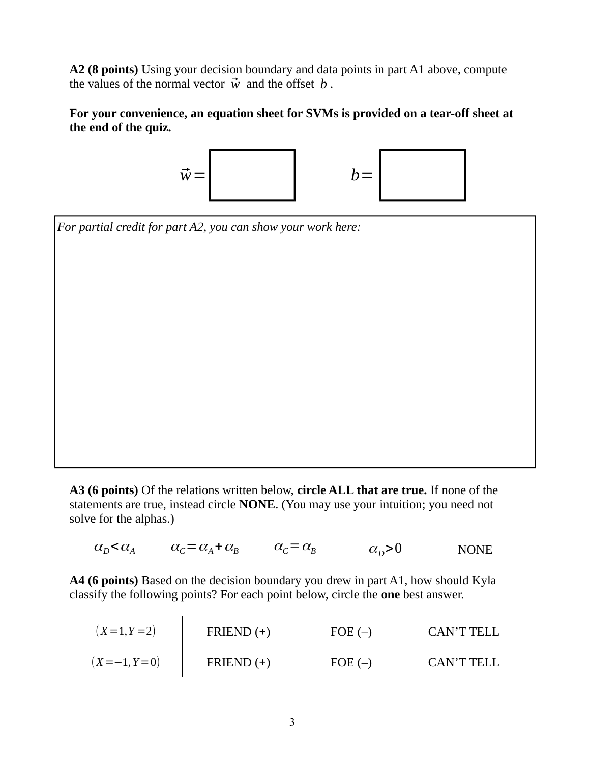**A2 (8 points)** Using your decision boundary and data points in part A1 above, compute the values of the normal vector  $\vec{w}$  and the offset *b*.

**For your convenience, an equation sheet for SVMs is provided on a tear-off sheet at the end of the quiz.**



*For partial credit for part A2, you can show your work here:*

**A3 (6 points)** Of the relations written below, **circle ALL that are true.** If none of the statements are true, instead circle **NONE**. (You may use your intuition; you need not solve for the alphas.)

 $\alpha_{D} < \alpha_{A}$   $\alpha_{C} = \alpha_{A} + \alpha_{B}$   $\alpha_{C} = \alpha_{B}$   $\alpha_{D} > 0$  NONE

**A4 (6 points)** Based on the decision boundary you drew in part A1, how should Kyla classify the following points? For each point below, circle the **one** best answer.

| $(X=1, Y=2)$  | FRIEND (+) | FOE (-) | CAN'T TELL |
|---------------|------------|---------|------------|
| $(X=-1, Y=0)$ | FRIEND (+) | FOE (-) | CAN'T TELL |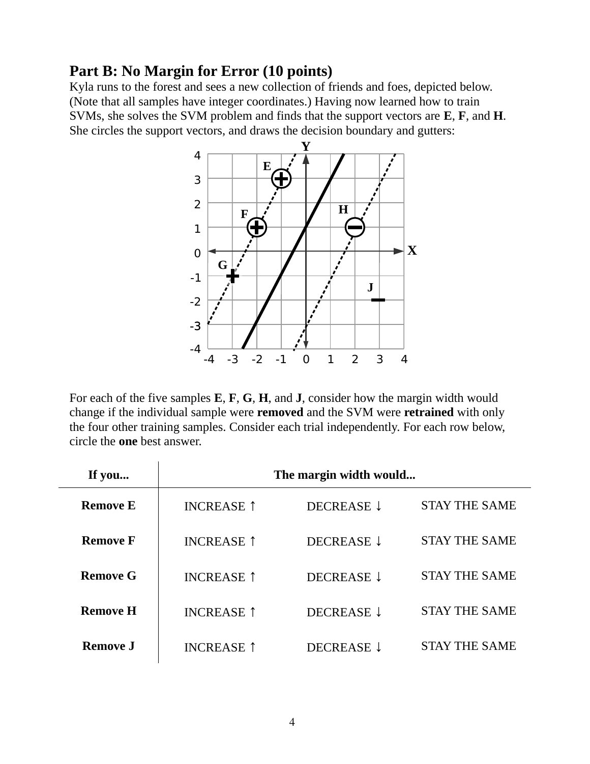#### **Part B: No Margin for Error (10 points)**

Kyla runs to the forest and sees a new collection of friends and foes, depicted below. (Note that all samples have integer coordinates.) Having now learned how to train SVMs, she solves the SVM problem and finds that the support vectors are **E**, **F**, and **H**. She circles the support vectors, and draws the decision boundary and gutters:



For each of the five samples **E**, **F**, **G**, **H**, and **J**, consider how the margin width would change if the individual sample were **removed** and the SVM were **retrained** with only the four other training samples. Consider each trial independently. For each row below, circle the **one** best answer.

| If you          | The margin width would |            |                      |  |
|-----------------|------------------------|------------|----------------------|--|
| <b>Remove E</b> | <b>INCREASE</b> 1      | DECREASE ↓ | <b>STAY THE SAME</b> |  |
| <b>Remove F</b> | <b>INCREASE 1</b>      | DECREASE ↓ | <b>STAY THE SAME</b> |  |
| <b>Remove G</b> | <b>INCREASE 1</b>      | DECREASE 1 | <b>STAY THE SAME</b> |  |
| <b>Remove H</b> | <b>INCREASE 1</b>      | DECREASE ↓ | <b>STAY THE SAME</b> |  |
| <b>Remove J</b> | <b>INCREASE</b> 1      | DECREASE ↓ | <b>STAY THE SAME</b> |  |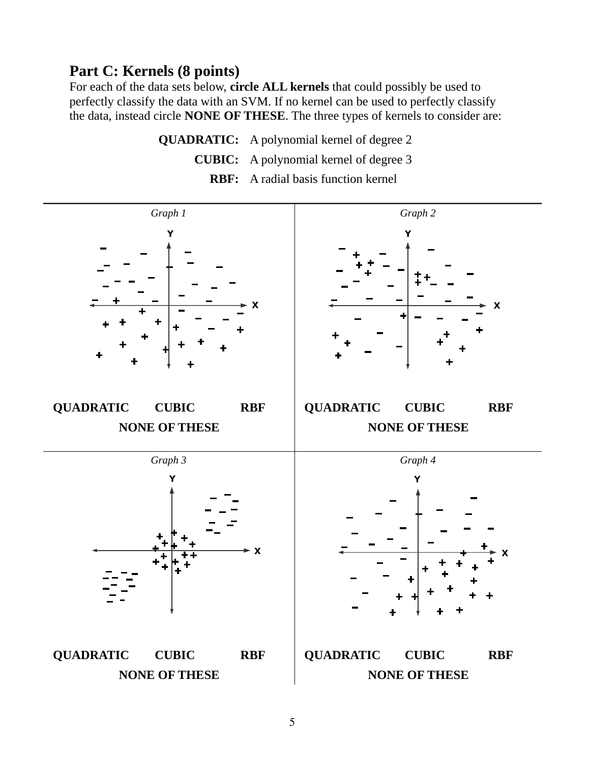#### **Part C: Kernels (8 points)**

For each of the data sets below, **circle ALL kernels** that could possibly be used to perfectly classify the data with an SVM. If no kernel can be used to perfectly classify the data, instead circle **NONE OF THESE**. The three types of kernels to consider are:

> **QUADRATIC:** A polynomial kernel of degree 2 **CUBIC:** A polynomial kernel of degree 3 **RBF:** A radial basis function kernel

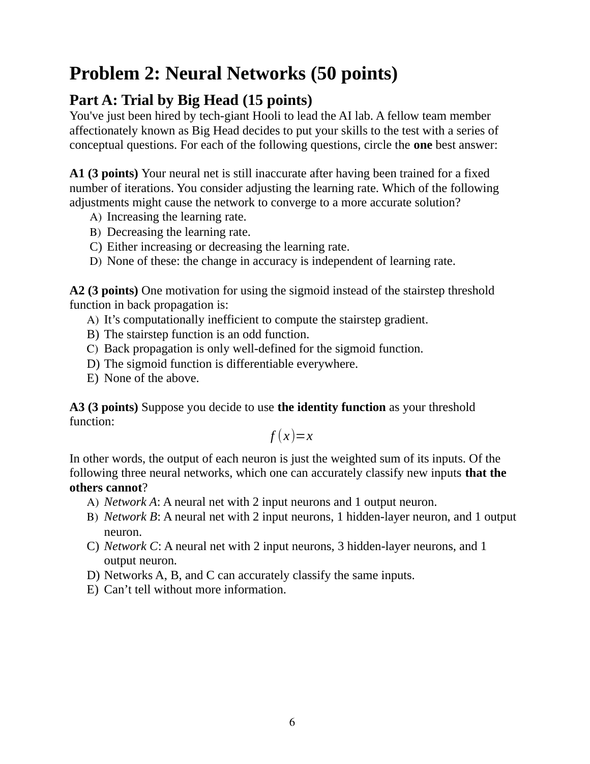## **Problem 2: Neural Networks (50 points)**

### **Part A: Trial by Big Head (15 points)**

You've just been hired by tech-giant Hooli to lead the AI lab. A fellow team member affectionately known as Big Head decides to put your skills to the test with a series of conceptual questions. For each of the following questions, circle the **one** best answer:

**A1 (3 points)** Your neural net is still inaccurate after having been trained for a fixed number of iterations. You consider adjusting the learning rate. Which of the following adjustments might cause the network to converge to a more accurate solution?

- A) Increasing the learning rate.
- B) Decreasing the learning rate.
- C) Either increasing or decreasing the learning rate.
- D) None of these: the change in accuracy is independent of learning rate.

**A2 (3 points)** One motivation for using the sigmoid instead of the stairstep threshold function in back propagation is:

- A) It's computationally inefficient to compute the stairstep gradient.
- B) The stairstep function is an odd function.
- C) Back propagation is only well-defined for the sigmoid function.
- D) The sigmoid function is differentiable everywhere.
- E) None of the above.

**A3 (3 points)** Suppose you decide to use **the identity function** as your threshold function:

$$
f(x)=x
$$

In other words, the output of each neuron is just the weighted sum of its inputs. Of the following three neural networks, which one can accurately classify new inputs **that the others cannot**?

- A) *Network A*: A neural net with 2 input neurons and 1 output neuron.
- B) *Network B*: A neural net with 2 input neurons, 1 hidden-layer neuron, and 1 output neuron.
- C) *Network C*: A neural net with 2 input neurons, 3 hidden-layer neurons, and 1 output neuron.
- D) Networks A, B, and C can accurately classify the same inputs.
- E) Can't tell without more information.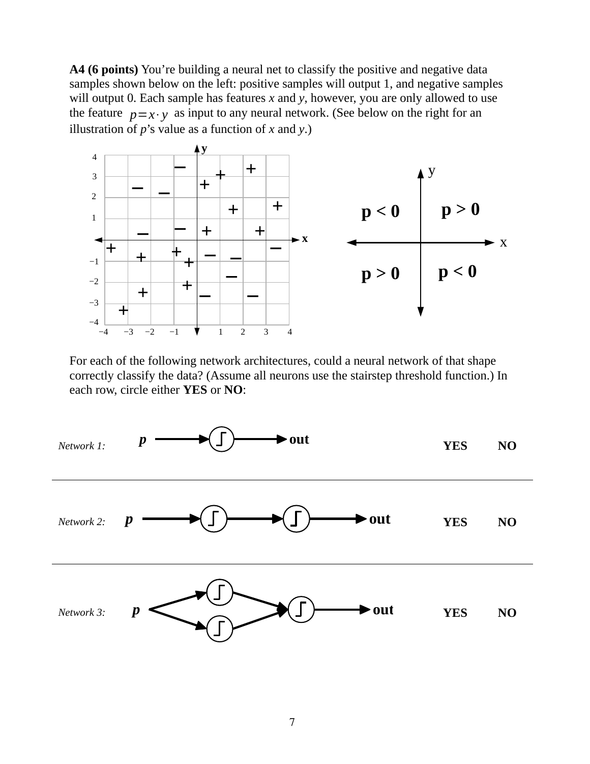**A4 (6 points)** You're building a neural net to classify the positive and negative data samples shown below on the left: positive samples will output 1, and negative samples will output 0. Each sample has features *x* and *y*, however, you are only allowed to use the feature  $p=x \cdot y$  as input to any neural network. (See below on the right for an illustration of *p*'s value as a function of *x* and *y*.)



For each of the following network architectures, could a neural network of that shape correctly classify the data? (Assume all neurons use the stairstep threshold function.) In each row, circle either **YES** or **NO**:

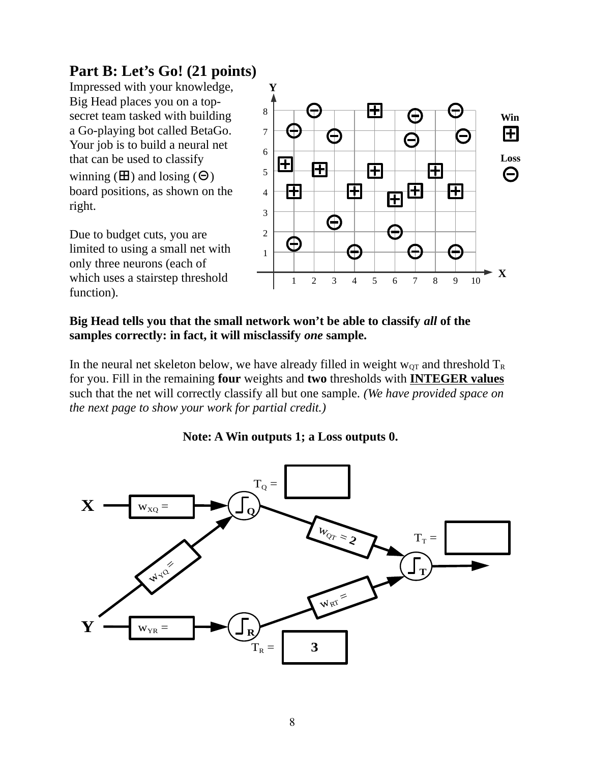### **Part B: Let's Go! (21 points)**

Impressed with your knowledge, Big Head places you on a topsecret team tasked with building a Go-playing bot called BetaGo. Your job is to build a neural net that can be used to classify winning  $(\mathbf{H})$  and losing  $(\Theta)$ board positions, as shown on the right.

Due to budget cuts, you are limited to using a small net with only three neurons (each of which uses a stairstep threshold function).



#### **Big Head tells you that the small network won't be able to classify** *all* **of the samples correctly: in fact, it will misclassify** *one* **sample.**

In the neural net skeleton below, we have already filled in weight  $w_{OT}$  and threshold  $T_R$ for you. Fill in the remaining **four** weights and **two** thresholds with **INTEGER values** such that the net will correctly classify all but one sample. *(We have provided space on the next page to show your work for partial credit.)*



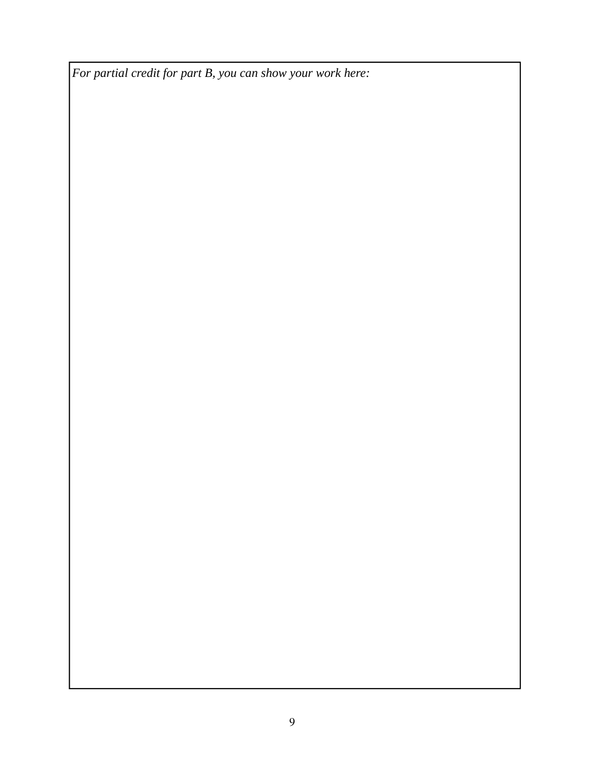*For partial credit for part B, you can show your work here:*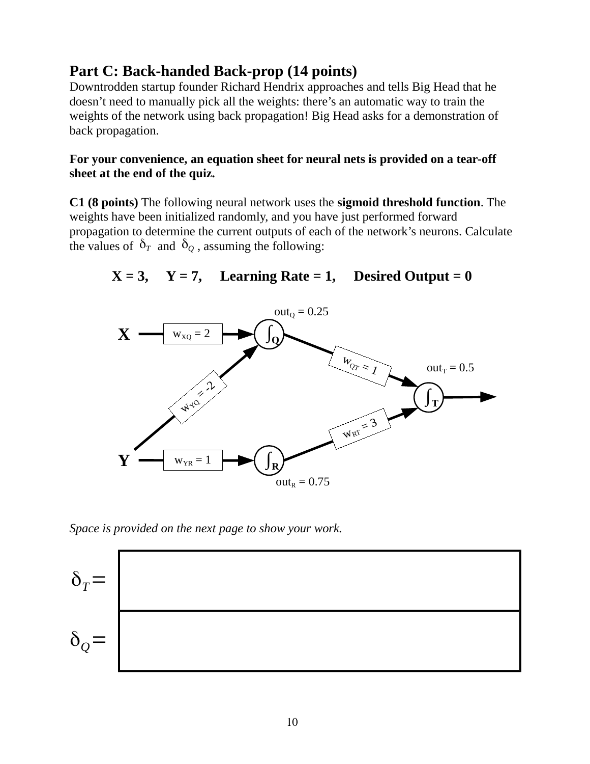#### **Part C: Back-handed Back-prop (14 points)**

Downtrodden startup founder Richard Hendrix approaches and tells Big Head that he doesn't need to manually pick all the weights: there's an automatic way to train the weights of the network using back propagation! Big Head asks for a demonstration of back propagation.

#### **For your convenience, an equation sheet for neural nets is provided on a tear-off sheet at the end of the quiz.**

**C1 (8 points)** The following neural network uses the **sigmoid threshold function**. The weights have been initialized randomly, and you have just performed forward propagation to determine the current outputs of each of the network's neurons. Calculate the values of  $\delta_T$  and  $\delta_Q$ , assuming the following:

 $X = 3$ ,  $Y = 7$ , Learning Rate = 1, Desired Output = 0



*Space is provided on the next page to show your work.*

$$
\delta_q = \boxed{\phantom{a} \delta_q = \phantom{a}
$$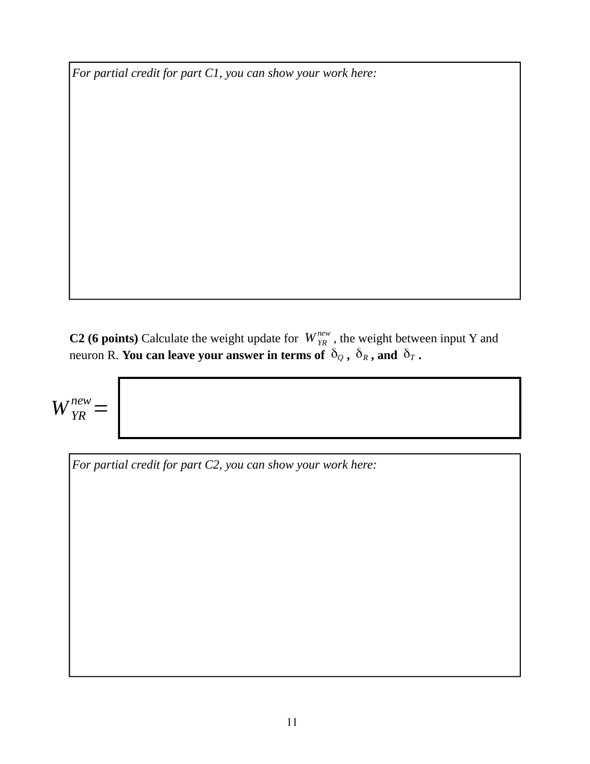*For partial credit for part C1, you can show your work here:*

**C2 (6 points)** Calculate the weight update for  $W_{YR}^{new}$ , the weight between input Y and neuron R. **You can leave your answer in terms of**  $\,\delta_{Q}$  **,**  $\,\delta_{R}$  **, and**  $\,\delta_{T}$  **.** 

*WYR new* =

*For partial credit for part C2, you can show your work here:*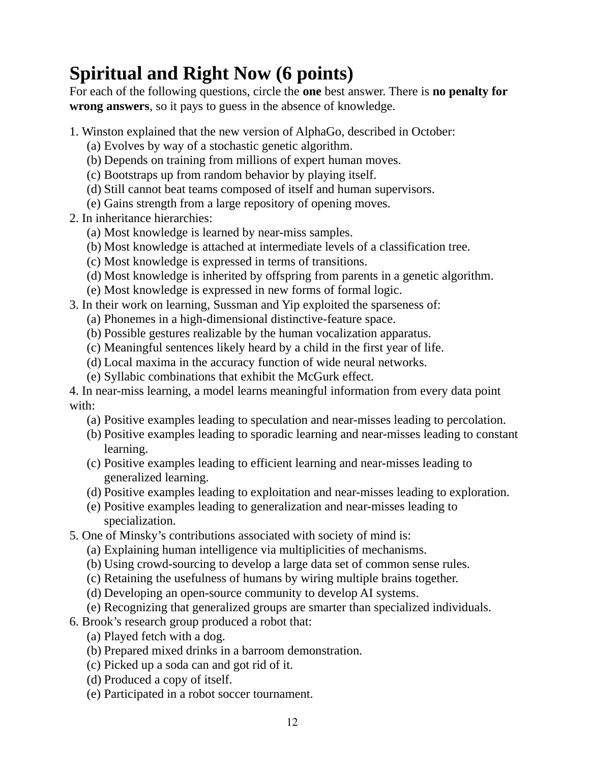# **Spiritual and Right Now (6 points)**

For each of the following questions, circle the **one** best answer. There is **no penalty for wrong answers**, so it pays to guess in the absence of knowledge.

- 1. Winston explained that the new version of AlphaGo, described in October:
	- (a) Evolves by way of a stochastic genetic algorithm.
	- (b) Depends on training from millions of expert human moves.
	- (c) Bootstraps up from random behavior by playing itself.
	- (d) Still cannot beat teams composed of itself and human supervisors.
	- (e) Gains strength from a large repository of opening moves.
- 2. In inheritance hierarchies:
	- (a) Most knowledge is learned by near-miss samples.
	- (b) Most knowledge is attached at intermediate levels of a classification tree.
	- (c) Most knowledge is expressed in terms of transitions.
	- (d) Most knowledge is inherited by offspring from parents in a genetic algorithm.
	- (e) Most knowledge is expressed in new forms of formal logic.
- 3. In their work on learning, Sussman and Yip exploited the sparseness of:
	- (a) Phonemes in a high-dimensional distinctive-feature space.
	- (b) Possible gestures realizable by the human vocalization apparatus.
	- (c) Meaningful sentences likely heard by a child in the first year of life.
	- (d) Local maxima in the accuracy function of wide neural networks.
	- (e) Syllabic combinations that exhibit the McGurk effect.

4. In near-miss learning, a model learns meaningful information from every data point with:

- (a) Positive examples leading to speculation and near-misses leading to percolation.
- (b) Positive examples leading to sporadic learning and near-misses leading to constant learning.
- (c) Positive examples leading to efficient learning and near-misses leading to generalized learning.
- (d) Positive examples leading to exploitation and near-misses leading to exploration.
- (e) Positive examples leading to generalization and near-misses leading to specialization.
- 5. One of Minsky's contributions associated with society of mind is:
	- (a) Explaining human intelligence via multiplicities of mechanisms.
	- (b) Using crowd-sourcing to develop a large data set of common sense rules.
	- (c) Retaining the usefulness of humans by wiring multiple brains together.
	- (d) Developing an open-source community to develop AI systems.
	- (e) Recognizing that generalized groups are smarter than specialized individuals.
- 6. Brook's research group produced a robot that:
	- (a) Played fetch with a dog.
	- (b) Prepared mixed drinks in a barroom demonstration.
	- (c) Picked up a soda can and got rid of it.
	- (d) Produced a copy of itself.
	- (e) Participated in a robot soccer tournament.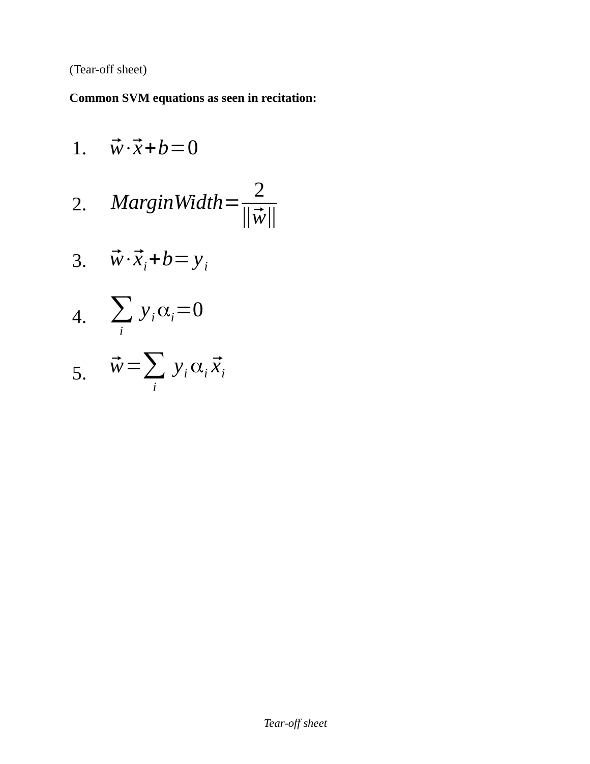(Tear-off sheet)

**Common SVM equations as seen in recitation:**

1. 
$$
\vec{w} \cdot \vec{x} + b = 0
$$
  
\n2. MarginWidth= $\frac{2}{\|\vec{w}\|}$   
\n3.  $\vec{w} \cdot \vec{x}_i + b = y_i$   
\n4.  $\sum_i y_i \alpha_i = 0$   
\n5.  $\vec{w} = \sum_i y_i \alpha_i \vec{x}_i$